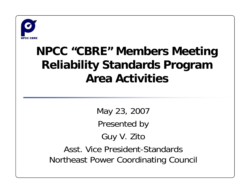

## **NPCC "CBRE" Members Meeting Reliability Standards Program Area Activities**

May 23, 2007 Presented by Guy V. Zito Asst. Vice President-Standards Northeast Power Coordinating Council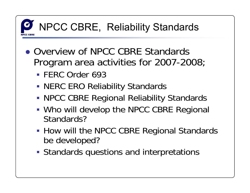

- Overview of NPCC CBRE Standards Program area activities for 2007-2008;
	- FERC Order 693
	- NERC ERO Reliability Standards
	- NPCC CBRE Regional Reliability Standards
	- Who will develop the NPCC CBRE Regional Standards?
	- **How will the NPCC CBRE Regional Standards** be developed?
	- Standards questions and interpretations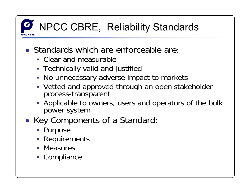- Standards which are enforceable are
	- Clear and measurable
	- **Technically valid and justified**
	- No unnecessary adverse impact to markets
	- Vetted and approved through an open stakeholder process-transparent
	- **Applicable to owners, users and operators of the bulk** power system
- Key Components of a Standard
	- **Purpose**
	- **Requirements**
	- **Measures**
	- **Compliance**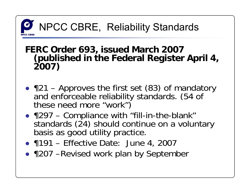## **FERC Order 693, issued March 2007 (published in the Federal Register April 4, 2007)**

- ●¶21 – Approves the first set (83) of mandatory and enforceable reliability standards. (54 of these need more "work")
- 1297 Compliance with "fill-in-the-blank" standards (24) should continue on a voluntary basis as good utility practice.
- 1191 Effective Date: June 4, 2007
- ¶207 –Revised work plan by September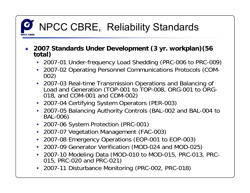

- **2007 Standards Under Development (3 yr. workplan)(56 total)**
	- 2007-01 Under-frequency Load Shedding (PRC-006 to PRC-009)
	- 2007-02 Operating Personnel Communications Protocols (COM- 002)
	- 2007-03 Real-time Transmission Operations and Balancing of Load and Generation (TOP-001 to TOP-008, ORG-001 to ORG-018, and COM-001 and COM-002)
	- 2007-04 Certifying System Operators (PER-003)
	- 2007-05 Balancing Authority Controls (BAL-002 and BAL-004 to BAL-006)
	- 2007-06 System Protection (PRC-001)
	- 2007-07 Vegetation Management (FAC-003)
	- 2007-08 Emergency Operations (EOP-001 to EOP-003)
	- 2007-09 Generator Verification (MOD-024 and MOD-025)
	- 2007-10 Modeling Data (MOD-010 to MOD-015, PRC-013, PRC- 015, PRC-020 and PRC-021)
	- 2007-11 Disturbance Monitoring (PRC-002, PRC-018)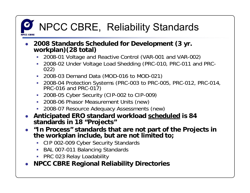- **2008 Standards Scheduled for Development (3 yr. workplan)(28 total)**
	- 2008-01 Voltage and Reactive Control (VAR-001 and VAR-002)
	- 2008-02 Under Voltage Load Shedding (PRC-010, PRC-011 and PRC- 022)
	- 2008-03 Demand Data (MOD-016 to MOD-021)
	- 2008-04 Protection Systems (PRC-003 to PRC-005, PRC-012, PRC-014,<br>PRC-016 and PRC-017)
	- 2008-05 Cyber Security (CIP-002 to CIP-009)
	- 2008-06 Phasor Measurement Units (new)
	- 2008-07 Resource Adequacy Assessments (new)
- ● **Anticipated ERO standard workload scheduled is 84 standards in 18 "Projects"**
- **"In Process" standards that are not part of the Projects in the workplan include, but are not limited to;**
	- CIP 002-009 Cyber Security Standards
	- BAL 007-011 Balancing Standards
	- PRC 023 Relay Loadability
- **NPCC CBRE Regional Reliability Directories**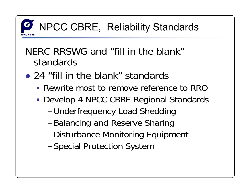

### NERC RRSWG and "fill in the blank"standards

- 24 "fill in the blank" standards
	- **Rewrite most to remove reference to RRC**
	- Develop 4 NPCC CBRE Regional Standards
		- <sup>−</sup>Underfrequency Load Shedding
		- <sup>−</sup>Balancing and Reserve Sharing
		- <sup>−</sup>Disturbance Monitoring Equipment
		- <sup>−</sup>Special Protection System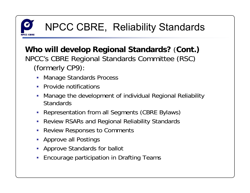

**Who will develop Regional Standards?**  (**Cont.)** NPCC's CBRE Regional Standards Committee (RSC) (formerly CP9):

- п Manage Standards Process
- **Provide notifications**
- Manage the development of individual Regional Reliability **Standards**
- Representation from all Segments (CBRE Bylaws)
- Review RSARs and Regional Reliability Standards
- Review Responses to Comments
- **-** Approve all Postings
- Approve Standards for ballot
- Encourage participation in Drafting Teams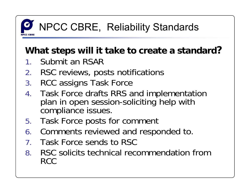

#### **What steps will it take to create a standard?**

- 1.Submit an RSAR
- 2. RSC reviews, posts notifications
- 3. RCC assigns Task Force
- 4. Task Force drafts RRS and implementation plan in open session-soliciting help with compliance issues.
- 5.Task Force posts for comment
- 6. Comments reviewed and responded to.
- 7. Task Force sends to RSC
- 8. RSC solicits technical recommendation from RCC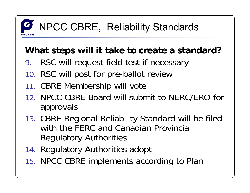#### **What steps will it take to create a standard?**

- 9.RSC will request field test if necessary
- 10. RSC will post for pre-ballot review
- 11. CBRE Membership will vote
- 12. NPCC CBRE Board will submit to NERC/ERO for approvals
- 13. CBRE Regional Reliability Standard will be filed with the FERC and Canadian Provincial Regulatory Authorities
- 14. Regulatory Authorities adopt
- 15. NPCC CBRE implements according to Plan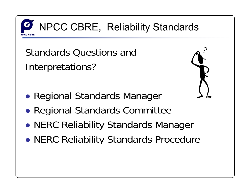

Standards Questions andInterpretations?



- ●Regional Standards Manager
- ●Regional Standards Committee
- ●NERC Reliability Standards Manager
- ●NERC Reliability Standards Procedure